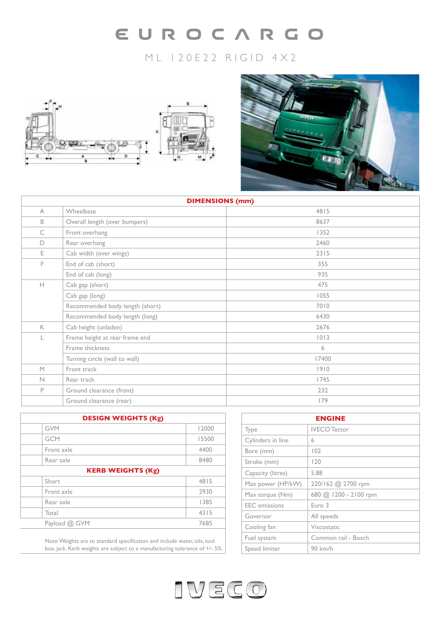# EUROCARGO

# ML 120E22 RIGID 4X2





| <b>DIMENSIONS (mm)</b> |                                 |       |  |
|------------------------|---------------------------------|-------|--|
| $\wedge$               | Wheelbase                       | 4815  |  |
| B                      | Overall length (over bumpers)   | 8637  |  |
| C                      | Front overhang                  | 1352  |  |
| D                      | Rear overhang                   | 2460  |  |
| E.                     | Cab width (over wings)          | 2315  |  |
| F.                     | End of cab (short)              | 355   |  |
|                        | End of cab (long)               | 935   |  |
| H                      | Cab gap (short)                 | 475   |  |
|                        | Cab gap (long)                  | 1055  |  |
|                        | Recommended body length (short) | 7010  |  |
|                        | Recommended body length (long)  | 6430  |  |
| $\mathsf{K}$           | Cab height (unladen)            | 2676  |  |
|                        | Frame height at rear frame end  | 1013  |  |
|                        | Frame thickness                 | 6     |  |
|                        | Turning circle (wall to wall)   | 17400 |  |
| M                      | Front track                     | 1910  |  |
| $\mathbb N$            | Rear track                      | 1745  |  |
| P                      | Ground clearance (front)        | 232   |  |
|                        | Ground clearance (rear)         | 179   |  |

| <b>DESIGN WEIGHTS (Kg)</b> |       |  |
|----------------------------|-------|--|
| <b>GVM</b>                 | 12000 |  |
| <b>GCM</b>                 | 15500 |  |
| Front axle                 | 4400  |  |
| Rear axle                  | 8480  |  |
| <b>KERB WEIGHTS (Kg)</b>   |       |  |
| Short                      | 4815  |  |
| Front axle                 | 2930  |  |
| Rear axle                  | 1385  |  |
| Total                      | 4315  |  |
| Payload @ GVM              | 7685  |  |
|                            |       |  |

Note: Weights are to standard specification and include water, oils, tool box, jack. Kerb weights are subject to a manufacturing tolerance of +/- 5%.

| <b>ENGINE</b>        |                       |  |
|----------------------|-----------------------|--|
| Type                 | <b>IVECO</b> Tector   |  |
| Cylinders in line    | 6                     |  |
| Bore (mm)            | 102                   |  |
| Stroke (mm)          | 120                   |  |
| Capacity (litres)    | 5.88                  |  |
| Max power (HP/kW)    | 220/162 @ 2700 rpm    |  |
| Max torque (Nm)      | 680 @ 1200 - 2100 rpm |  |
| <b>EEC</b> emissions | Euro 3                |  |
| Governor             | All speeds            |  |
| Cooling fan          | Viscostatic           |  |
| Fuel system          | Common rail - Bosch   |  |
| Speed limiter        | 90 km/h               |  |